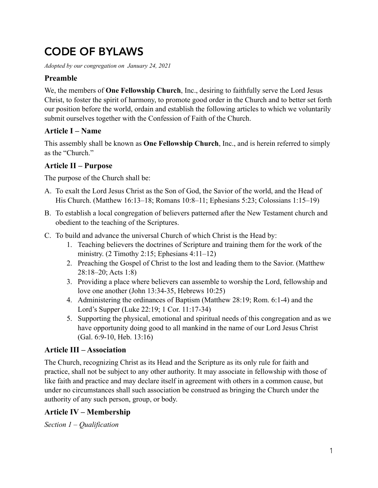# CODE OF BYLAWS

*Adopted by our congregation on January 24, 2021* 

# **Preamble**

We, the members of **One Fellowship Church**, Inc., desiring to faithfully serve the Lord Jesus Christ, to foster the spirit of harmony, to promote good order in the Church and to better set forth our position before the world, ordain and establish the following articles to which we voluntarily submit ourselves together with the Confession of Faith of the Church.

# **Article I – Name**

This assembly shall be known as **One Fellowship Church**, Inc., and is herein referred to simply as the "Church."

# **Article II – Purpose**

The purpose of the Church shall be:

- A. To exalt the Lord Jesus Christ as the Son of God, the Savior of the world, and the Head of His Church. (Matthew 16:13–18; Romans 10:8–11; Ephesians 5:23; Colossians 1:15–19)
- B. To establish a local congregation of believers patterned after the New Testament church and obedient to the teaching of the Scriptures.
- C. To build and advance the universal Church of which Christ is the Head by:
	- 1. Teaching believers the doctrines of Scripture and training them for the work of the ministry.  $(2$  Timothy 2:15; Ephesians 4:11–12)
	- 2. Preaching the Gospel of Christ to the lost and leading them to the Savior. (Matthew 28:18–20; Acts 1:8)
	- 3. Providing a place where believers can assemble to worship the Lord, fellowship and love one another (John 13:34-35, Hebrews 10:25)
	- 4. Administering the ordinances of Baptism (Matthew 28:19; Rom. 6:1-4) and the Lord's Supper (Luke 22:19; 1 Cor. 11:17-34)
	- 5. Supporting the physical, emotional and spiritual needs of this congregation and as we have opportunity doing good to all mankind in the name of our Lord Jesus Christ (Gal. 6:9-10, Heb. 13:16)

# **Article III – Association**

The Church, recognizing Christ as its Head and the Scripture as its only rule for faith and practice, shall not be subject to any other authority. It may associate in fellowship with those of like faith and practice and may declare itself in agreement with others in a common cause, but under no circumstances shall such association be construed as bringing the Church under the authority of any such person, group, or body.

# **Article IV – Membership**

*Section 1 – Qualification*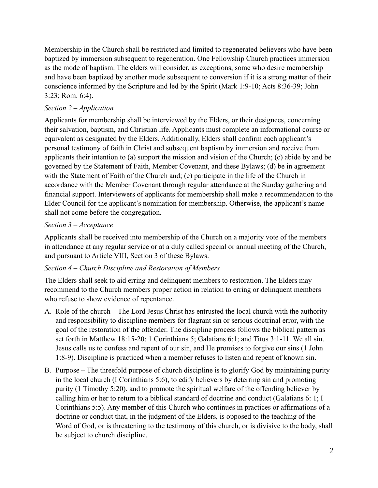Membership in the Church shall be restricted and limited to regenerated believers who have been baptized by immersion subsequent to regeneration. One Fellowship Church practices immersion as the mode of baptism. The elders will consider, as exceptions, some who desire membership and have been baptized by another mode subsequent to conversion if it is a strong matter of their conscience informed by the Scripture and led by the Spirit (Mark 1:9-10; Acts 8:36-39; John 3:23; Rom. 6:4).

# *Section 2 – Application*

Applicants for membership shall be interviewed by the Elders, or their designees, concerning their salvation, baptism, and Christian life. Applicants must complete an informational course or equivalent as designated by the Elders. Additionally, Elders shall confirm each applicant's personal testimony of faith in Christ and subsequent baptism by immersion and receive from applicants their intention to (a) support the mission and vision of the Church; (c) abide by and be governed by the Statement of Faith, Member Covenant, and these Bylaws; (d) be in agreement with the Statement of Faith of the Church and; (e) participate in the life of the Church in accordance with the Member Covenant through regular attendance at the Sunday gathering and financial support. Interviewers of applicants for membership shall make a recommendation to the Elder Council for the applicant's nomination for membership. Otherwise, the applicant's name shall not come before the congregation.

#### *Section 3 – Acceptance*

Applicants shall be received into membership of the Church on a majority vote of the members in attendance at any regular service or at a duly called special or annual meeting of the Church, and pursuant to Article VIII, Section 3 of these Bylaws.

#### *Section 4 – Church Discipline and Restoration of Members*

The Elders shall seek to aid erring and delinquent members to restoration. The Elders may recommend to the Church members proper action in relation to erring or delinquent members who refuse to show evidence of repentance.

- A. Role of the church The Lord Jesus Christ has entrusted the local church with the authority and responsibility to discipline members for flagrant sin or serious doctrinal error, with the goal of the restoration of the offender. The discipline process follows the biblical pattern as set forth in Matthew 18:15-20; 1 Corinthians 5; Galatians 6:1; and Titus 3:1-11. We all sin. Jesus calls us to confess and repent of our sin, and He promises to forgive our sins (1 John 1:8-9). Discipline is practiced when a member refuses to listen and repent of known sin.
- B. Purpose The threefold purpose of church discipline is to glorify God by maintaining purity in the local church (I Corinthians 5:6), to edify believers by deterring sin and promoting purity (1 Timothy 5:20), and to promote the spiritual welfare of the offending believer by calling him or her to return to a biblical standard of doctrine and conduct (Galatians 6: 1; I Corinthians 5:5). Any member of this Church who continues in practices or affirmations of a doctrine or conduct that, in the judgment of the Elders, is opposed to the teaching of the Word of God, or is threatening to the testimony of this church, or is divisive to the body, shall be subject to church discipline.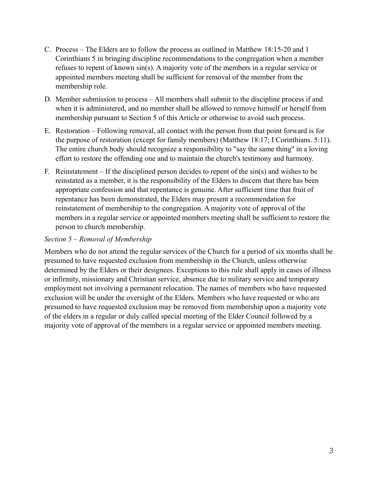- C. Process The Elders are to follow the process as outlined in Matthew 18:15-20 and 1 Corinthians 5 in bringing discipline recommendations to the congregation when a member refuses to repent of known sin(s). A majority vote of the members in a regular service or appointed members meeting shall be sufficient for removal of the member from the membership role.
- D. Member submission to process All members shall submit to the discipline process if and when it is administered, and no member shall be allowed to remove himself or herself from membership pursuant to Section 5 of this Article or otherwise to avoid such process.
- E. Restoration Following removal, all contact with the person from that point forward is for the purpose of restoration (except for family members) (Matthew 18:17; I Corinthians. 5:11). The entire church body should recognize a responsibility to "say the same thing" in a loving effort to restore the offending one and to maintain the church's testimony and harmony.
- F. Reinstatement If the disciplined person decides to repent of the sin(s) and wishes to be reinstated as a member, it is the responsibility of the Elders to discern that there has been appropriate confession and that repentance is genuine. After sufficient time that fruit of repentance has been demonstrated, the Elders may present a recommendation for reinstatement of membership to the congregation. A majority vote of approval of the members in a regular service or appointed members meeting shall be sufficient to restore the person to church membership.

#### *Section 5 – Removal of Membership*

Members who do not attend the regular services of the Church for a period of six months shall be presumed to have requested exclusion from membership in the Church, unless otherwise determined by the Elders or their designees. Exceptions to this rule shall apply in cases of illness or infirmity, missionary and Christian service, absence due to military service and temporary employment not involving a permanent relocation. The names of members who have requested exclusion will be under the oversight of the Elders. Members who have requested or who are presumed to have requested exclusion may be removed from membership upon a majority vote of the elders in a regular or duly called special meeting of the Elder Council followed by a majority vote of approval of the members in a regular service or appointed members meeting.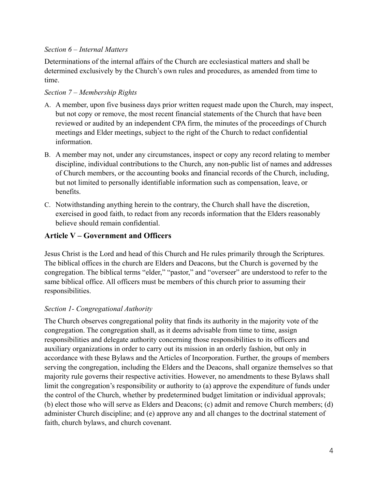#### *Section 6 – Internal Matters*

Determinations of the internal affairs of the Church are ecclesiastical matters and shall be determined exclusively by the Church's own rules and procedures, as amended from time to time.

#### *Section 7 – Membership Rights*

- A. A member, upon five business days prior written request made upon the Church, may inspect, but not copy or remove, the most recent financial statements of the Church that have been reviewed or audited by an independent CPA firm, the minutes of the proceedings of Church meetings and Elder meetings, subject to the right of the Church to redact confidential information.
- B. A member may not, under any circumstances, inspect or copy any record relating to member discipline, individual contributions to the Church, any non-public list of names and addresses of Church members, or the accounting books and financial records of the Church, including, but not limited to personally identifiable information such as compensation, leave, or benefits.
- C. Notwithstanding anything herein to the contrary, the Church shall have the discretion, exercised in good faith, to redact from any records information that the Elders reasonably believe should remain confidential.

# **Article V – Government and Officers**

Jesus Christ is the Lord and head of this Church and He rules primarily through the Scriptures. The biblical offices in the church are Elders and Deacons, but the Church is governed by the congregation. The biblical terms "elder," "pastor," and "overseer" are understood to refer to the same biblical office. All officers must be members of this church prior to assuming their responsibilities.

#### *Section 1- Congregational Authority*

The Church observes congregational polity that finds its authority in the majority vote of the congregation. The congregation shall, as it deems advisable from time to time, assign responsibilities and delegate authority concerning those responsibilities to its officers and auxiliary organizations in order to carry out its mission in an orderly fashion, but only in accordance with these Bylaws and the Articles of Incorporation. Further, the groups of members serving the congregation, including the Elders and the Deacons, shall organize themselves so that majority rule governs their respective activities. However, no amendments to these Bylaws shall limit the congregation's responsibility or authority to (a) approve the expenditure of funds under the control of the Church, whether by predetermined budget limitation or individual approvals; (b) elect those who will serve as Elders and Deacons; (c) admit and remove Church members; (d) administer Church discipline; and (e) approve any and all changes to the doctrinal statement of faith, church bylaws, and church covenant.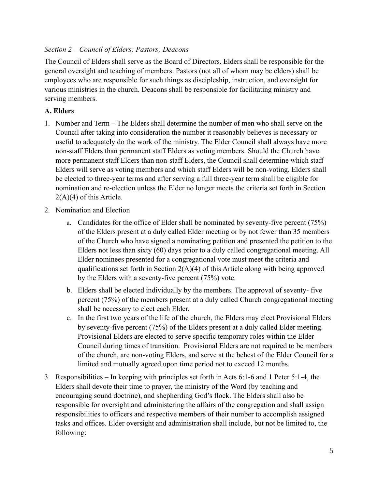#### *Section 2 – Council of Elders; Pastors; Deacons*

The Council of Elders shall serve as the Board of Directors. Elders shall be responsible for the general oversight and teaching of members. Pastors (not all of whom may be elders) shall be employees who are responsible for such things as discipleship, instruction, and oversight for various ministries in the church. Deacons shall be responsible for facilitating ministry and serving members.

#### **A. Elders**

- 1. Number and Term The Elders shall determine the number of men who shall serve on the Council after taking into consideration the number it reasonably believes is necessary or useful to adequately do the work of the ministry. The Elder Council shall always have more non-staff Elders than permanent staff Elders as voting members. Should the Church have more permanent staff Elders than non-staff Elders, the Council shall determine which staff Elders will serve as voting members and which staff Elders will be non-voting. Elders shall be elected to three-year terms and after serving a full three-year term shall be eligible for nomination and re-election unless the Elder no longer meets the criteria set forth in Section 2(A)(4) of this Article.
- 2. Nomination and Election
	- a. Candidates for the office of Elder shall be nominated by seventy-five percent (75%) of the Elders present at a duly called Elder meeting or by not fewer than 35 members of the Church who have signed a nominating petition and presented the petition to the Elders not less than sixty (60) days prior to a duly called congregational meeting. All Elder nominees presented for a congregational vote must meet the criteria and qualifications set forth in Section  $2(A)(4)$  of this Article along with being approved by the Elders with a seventy-five percent (75%) vote.
	- b. Elders shall be elected individually by the members. The approval of seventy- five percent (75%) of the members present at a duly called Church congregational meeting shall be necessary to elect each Elder.
	- c. In the first two years of the life of the church, the Elders may elect Provisional Elders by seventy-five percent (75%) of the Elders present at a duly called Elder meeting. Provisional Elders are elected to serve specific temporary roles within the Elder Council during times of transition. Provisional Elders are not required to be members of the church, are non-voting Elders, and serve at the behest of the Elder Council for a limited and mutually agreed upon time period not to exceed 12 months.
- 3. Responsibilities In keeping with principles set forth in Acts 6:1-6 and 1 Peter 5:1-4, the Elders shall devote their time to prayer, the ministry of the Word (by teaching and encouraging sound doctrine), and shepherding God's flock. The Elders shall also be responsible for oversight and administering the affairs of the congregation and shall assign responsibilities to officers and respective members of their number to accomplish assigned tasks and offices. Elder oversight and administration shall include, but not be limited to, the following: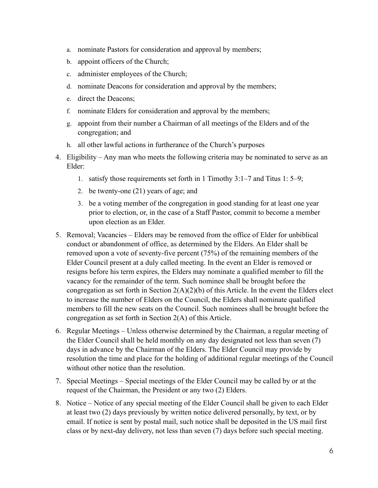- a. nominate Pastors for consideration and approval by members;
- b. appoint officers of the Church;
- c. administer employees of the Church;
- d. nominate Deacons for consideration and approval by the members;
- e. direct the Deacons;
- f. nominate Elders for consideration and approval by the members;
- g. appoint from their number a Chairman of all meetings of the Elders and of the congregation; and
- h. all other lawful actions in furtherance of the Church's purposes
- 4. Eligibility Any man who meets the following criteria may be nominated to serve as an Elder:
	- 1. satisfy those requirements set forth in 1 Timothy 3:1–7 and Titus 1: 5–9;
	- 2. be twenty-one (21) years of age; and
	- 3. be a voting member of the congregation in good standing for at least one year prior to election, or, in the case of a Staff Pastor, commit to become a member upon election as an Elder.
- 5. Removal; Vacancies Elders may be removed from the office of Elder for unbiblical conduct or abandonment of office, as determined by the Elders. An Elder shall be removed upon a vote of seventy-five percent (75%) of the remaining members of the Elder Council present at a duly called meeting. In the event an Elder is removed or resigns before his term expires, the Elders may nominate a qualified member to fill the vacancy for the remainder of the term. Such nominee shall be brought before the congregation as set forth in Section  $2(A)(2)(b)$  of this Article. In the event the Elders elect to increase the number of Elders on the Council, the Elders shall nominate qualified members to fill the new seats on the Council. Such nominees shall be brought before the congregation as set forth in Section 2(A) of this Article.
- 6. Regular Meetings Unless otherwise determined by the Chairman, a regular meeting of the Elder Council shall be held monthly on any day designated not less than seven (7) days in advance by the Chairman of the Elders. The Elder Council may provide by resolution the time and place for the holding of additional regular meetings of the Council without other notice than the resolution.
- 7. Special Meetings Special meetings of the Elder Council may be called by or at the request of the Chairman, the President or any two (2) Elders.
- 8. Notice Notice of any special meeting of the Elder Council shall be given to each Elder at least two (2) days previously by written notice delivered personally, by text, or by email. If notice is sent by postal mail, such notice shall be deposited in the US mail first class or by next-day delivery, not less than seven (7) days before such special meeting.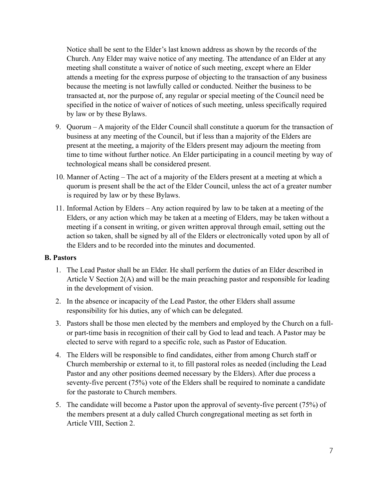Notice shall be sent to the Elder's last known address as shown by the records of the Church. Any Elder may waive notice of any meeting. The attendance of an Elder at any meeting shall constitute a waiver of notice of such meeting, except where an Elder attends a meeting for the express purpose of objecting to the transaction of any business because the meeting is not lawfully called or conducted. Neither the business to be transacted at, nor the purpose of, any regular or special meeting of the Council need be specified in the notice of waiver of notices of such meeting, unless specifically required by law or by these Bylaws.

- 9. Quorum A majority of the Elder Council shall constitute a quorum for the transaction of business at any meeting of the Council, but if less than a majority of the Elders are present at the meeting, a majority of the Elders present may adjourn the meeting from time to time without further notice. An Elder participating in a council meeting by way of technological means shall be considered present.
- 10. Manner of Acting The act of a majority of the Elders present at a meeting at which a quorum is present shall be the act of the Elder Council, unless the act of a greater number is required by law or by these Bylaws.
- 11. Informal Action by Elders Any action required by law to be taken at a meeting of the Elders, or any action which may be taken at a meeting of Elders, may be taken without a meeting if a consent in writing, or given written approval through email, setting out the action so taken, shall be signed by all of the Elders or electronically voted upon by all of the Elders and to be recorded into the minutes and documented.

#### **B. Pastors**

- 1. The Lead Pastor shall be an Elder. He shall perform the duties of an Elder described in Article V Section 2(A) and will be the main preaching pastor and responsible for leading in the development of vision.
- 2. In the absence or incapacity of the Lead Pastor, the other Elders shall assume responsibility for his duties, any of which can be delegated.
- 3. Pastors shall be those men elected by the members and employed by the Church on a fullor part-time basis in recognition of their call by God to lead and teach. A Pastor may be elected to serve with regard to a specific role, such as Pastor of Education.
- 4. The Elders will be responsible to find candidates, either from among Church staff or Church membership or external to it, to fill pastoral roles as needed (including the Lead Pastor and any other positions deemed necessary by the Elders). After due process a seventy-five percent (75%) vote of the Elders shall be required to nominate a candidate for the pastorate to Church members.
- 5. The candidate will become a Pastor upon the approval of seventy-five percent (75%) of the members present at a duly called Church congregational meeting as set forth in Article VIII, Section 2.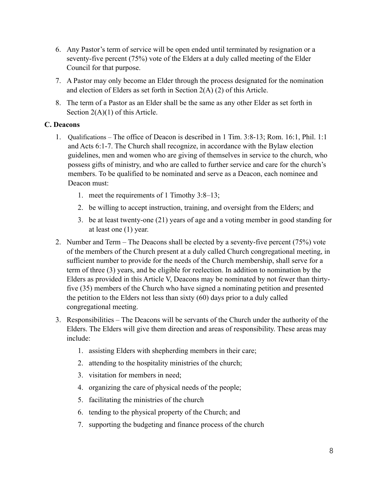- 6. Any Pastor's term of service will be open ended until terminated by resignation or a seventy-five percent (75%) vote of the Elders at a duly called meeting of the Elder Council for that purpose.
- 7. A Pastor may only become an Elder through the process designated for the nomination and election of Elders as set forth in Section 2(A) (2) of this Article.
- 8. The term of a Pastor as an Elder shall be the same as any other Elder as set forth in Section 2(A)(1) of this Article.

## **C. Deacons**

- 1. Qualifications The office of Deacon is described in 1 Tim. 3:8-13; Rom. 16:1, Phil. 1:1 and Acts 6:1-7. The Church shall recognize, in accordance with the Bylaw election guidelines, men and women who are giving of themselves in service to the church, who possess gifts of ministry, and who are called to further service and care for the church's members. To be qualified to be nominated and serve as a Deacon, each nominee and Deacon must:
	- 1. meet the requirements of 1 Timothy 3:8–13;
	- 2. be willing to accept instruction, training, and oversight from the Elders; and
	- 3. be at least twenty-one (21) years of age and a voting member in good standing for at least one (1) year.
- 2. Number and Term The Deacons shall be elected by a seventy-five percent (75%) vote of the members of the Church present at a duly called Church congregational meeting, in sufficient number to provide for the needs of the Church membership, shall serve for a term of three (3) years, and be eligible for reelection. In addition to nomination by the Elders as provided in this Article V, Deacons may be nominated by not fewer than thirtyfive (35) members of the Church who have signed a nominating petition and presented the petition to the Elders not less than sixty (60) days prior to a duly called congregational meeting.
- 3. Responsibilities The Deacons will be servants of the Church under the authority of the Elders. The Elders will give them direction and areas of responsibility. These areas may include:
	- 1. assisting Elders with shepherding members in their care;
	- 2. attending to the hospitality ministries of the church;
	- 3. visitation for members in need;
	- 4. organizing the care of physical needs of the people;
	- 5. facilitating the ministries of the church
	- 6. tending to the physical property of the Church; and
	- 7. supporting the budgeting and finance process of the church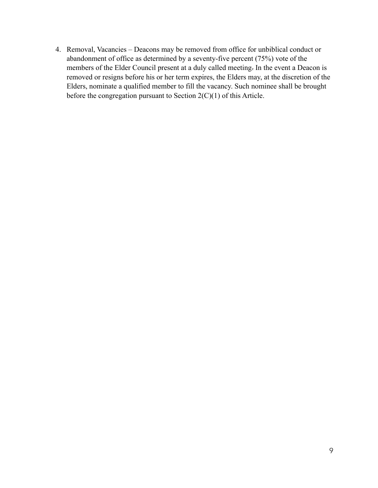4. Removal, Vacancies – Deacons may be removed from office for unbiblical conduct or abandonment of office as determined by a seventy-five percent (75%) vote of the members of the Elder Council present at a duly called meeting. In the event a Deacon is removed or resigns before his or her term expires, the Elders may, at the discretion of the Elders, nominate a qualified member to fill the vacancy. Such nominee shall be brought before the congregation pursuant to Section 2(C)(1) of this Article.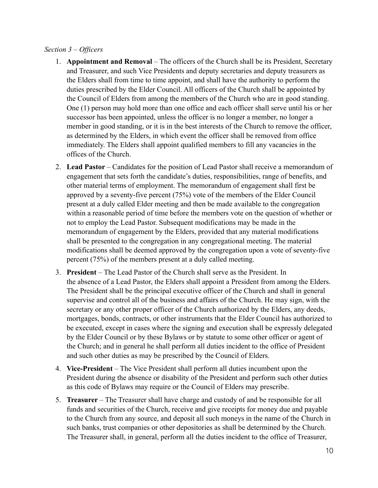#### *Section 3 – Officers*

- 1. **Appointment and Removal** The officers of the Church shall be its President, Secretary and Treasurer, and such Vice Presidents and deputy secretaries and deputy treasurers as the Elders shall from time to time appoint, and shall have the authority to perform the duties prescribed by the Elder Council. All officers of the Church shall be appointed by the Council of Elders from among the members of the Church who are in good standing. One (1) person may hold more than one office and each officer shall serve until his or her successor has been appointed, unless the officer is no longer a member, no longer a member in good standing, or it is in the best interests of the Church to remove the officer, as determined by the Elders, in which event the officer shall be removed from office immediately. The Elders shall appoint qualified members to fill any vacancies in the offices of the Church.
- 2. **Lead Pastor**  Candidates for the position of Lead Pastor shall receive a memorandum of engagement that sets forth the candidate's duties, responsibilities, range of benefits, and other material terms of employment. The memorandum of engagement shall first be approved by a seventy-five percent (75%) vote of the members of the Elder Council present at a duly called Elder meeting and then be made available to the congregation within a reasonable period of time before the members vote on the question of whether or not to employ the Lead Pastor. Subsequent modifications may be made in the memorandum of engagement by the Elders, provided that any material modifications shall be presented to the congregation in any congregational meeting. The material modifications shall be deemed approved by the congregation upon a vote of seventy-five percent (75%) of the members present at a duly called meeting.
- 3. **President**  The Lead Pastor of the Church shall serve as the President. In the absence of a Lead Pastor, the Elders shall appoint a President from among the Elders. The President shall be the principal executive officer of the Church and shall in general supervise and control all of the business and affairs of the Church. He may sign, with the secretary or any other proper officer of the Church authorized by the Elders, any deeds, mortgages, bonds, contracts, or other instruments that the Elder Council has authorized to be executed, except in cases where the signing and execution shall be expressly delegated by the Elder Council or by these Bylaws or by statute to some other officer or agent of the Church; and in general he shall perform all duties incident to the office of President and such other duties as may be prescribed by the Council of Elders.
- 4. **Vice-President**  The Vice President shall perform all duties incumbent upon the President during the absence or disability of the President and perform such other duties as this code of Bylaws may require or the Council of Elders may prescribe.
- 5. **Treasurer**  The Treasurer shall have charge and custody of and be responsible for all funds and securities of the Church, receive and give receipts for money due and payable to the Church from any source, and deposit all such moneys in the name of the Church in such banks, trust companies or other depositories as shall be determined by the Church. The Treasurer shall, in general, perform all the duties incident to the office of Treasurer,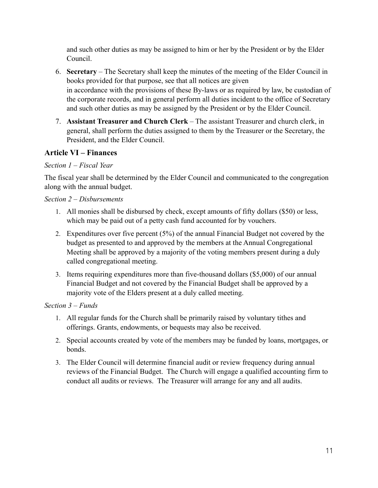and such other duties as may be assigned to him or her by the President or by the Elder Council.

- 6. **Secretary**  The Secretary shall keep the minutes of the meeting of the Elder Council in books provided for that purpose, see that all notices are given in accordance with the provisions of these By-laws or as required by law, be custodian of the corporate records, and in general perform all duties incident to the office of Secretary and such other duties as may be assigned by the President or by the Elder Council.
- 7. **Assistant Treasurer and Church Clerk**  The assistant Treasurer and church clerk, in general, shall perform the duties assigned to them by the Treasurer or the Secretary, the President, and the Elder Council.

# **Article VI – Finances**

#### *Section 1 – Fiscal Year*

The fiscal year shall be determined by the Elder Council and communicated to the congregation along with the annual budget.

#### *Section 2 – Disbursements*

- 1. All monies shall be disbursed by check, except amounts of fifty dollars (\$50) or less, which may be paid out of a petty cash fund accounted for by vouchers.
- 2. Expenditures over five percent (5%) of the annual Financial Budget not covered by the budget as presented to and approved by the members at the Annual Congregational Meeting shall be approved by a majority of the voting members present during a duly called congregational meeting.
- 3. Items requiring expenditures more than five-thousand dollars (\$5,000) of our annual Financial Budget and not covered by the Financial Budget shall be approved by a majority vote of the Elders present at a duly called meeting.

#### *Section 3 – Funds*

- 1. All regular funds for the Church shall be primarily raised by voluntary tithes and offerings. Grants, endowments, or bequests may also be received.
- 2. Special accounts created by vote of the members may be funded by loans, mortgages, or bonds.
- 3. The Elder Council will determine financial audit or review frequency during annual reviews of the Financial Budget. The Church will engage a qualified accounting firm to conduct all audits or reviews. The Treasurer will arrange for any and all audits.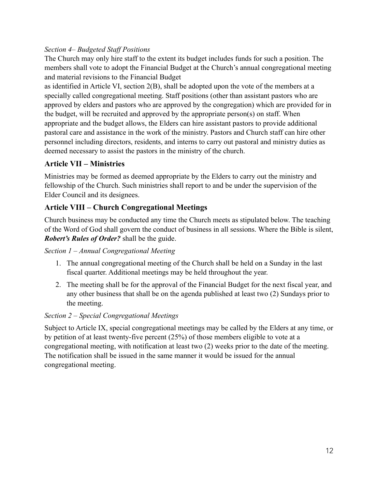# *Section 4– Budgeted Staff Positions*

The Church may only hire staff to the extent its budget includes funds for such a position. The members shall vote to adopt the Financial Budget at the Church's annual congregational meeting and material revisions to the Financial Budget

as identified in Article VI, section 2(B), shall be adopted upon the vote of the members at a specially called congregational meeting. Staff positions (other than assistant pastors who are approved by elders and pastors who are approved by the congregation) which are provided for in the budget, will be recruited and approved by the appropriate person(s) on staff. When appropriate and the budget allows, the Elders can hire assistant pastors to provide additional pastoral care and assistance in the work of the ministry. Pastors and Church staff can hire other personnel including directors, residents, and interns to carry out pastoral and ministry duties as deemed necessary to assist the pastors in the ministry of the church.

# **Article VII – Ministries**

Ministries may be formed as deemed appropriate by the Elders to carry out the ministry and fellowship of the Church. Such ministries shall report to and be under the supervision of the Elder Council and its designees.

# **Article VIII – Church Congregational Meetings**

Church business may be conducted any time the Church meets as stipulated below. The teaching of the Word of God shall govern the conduct of business in all sessions. Where the Bible is silent, *Robert's Rules of Order?* shall be the guide.

#### *Section 1 – Annual Congregational Meeting*

- 1. The annual congregational meeting of the Church shall be held on a Sunday in the last fiscal quarter. Additional meetings may be held throughout the year.
- 2. The meeting shall be for the approval of the Financial Budget for the next fiscal year, and any other business that shall be on the agenda published at least two (2) Sundays prior to the meeting.

# *Section 2 – Special Congregational Meetings*

Subject to Article IX, special congregational meetings may be called by the Elders at any time, or by petition of at least twenty-five percent (25%) of those members eligible to vote at a congregational meeting, with notification at least two (2) weeks prior to the date of the meeting. The notification shall be issued in the same manner it would be issued for the annual congregational meeting.